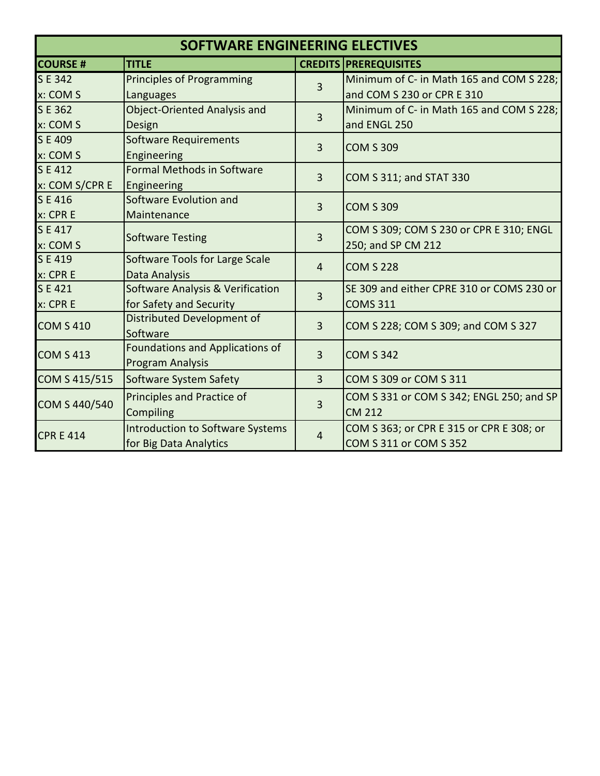| SOFTWARE ENGINEERING ELECTIVES |                                             |                |                                           |
|--------------------------------|---------------------------------------------|----------------|-------------------------------------------|
| <b>COURSE#</b>                 | <b>TITLE</b>                                |                | <b>CREDITS PREREQUISITES</b>              |
| SE 342                         | Principles of Programming                   | 3              | Minimum of C- in Math 165 and COM S 228;  |
| x: COM S                       | Languages                                   |                | and COM S 230 or CPR E 310                |
| SE 362                         | <b>Object-Oriented Analysis and</b>         |                | Minimum of C- in Math 165 and COM S 228;  |
| x: COM S                       | Design                                      | 3              | and ENGL 250                              |
| SE 409                         | <b>Software Requirements</b>                |                |                                           |
| x: COM S                       | Engineering                                 | 3              | <b>COM S 309</b>                          |
| SE 412                         | <b>Formal Methods in Software</b>           | $\overline{3}$ |                                           |
| x: COM S/CPR E                 | Engineering                                 |                | COM S 311; and STAT 330                   |
| SE 416                         | Software Evolution and                      |                |                                           |
| x: CPR E                       | Maintenance                                 | 3              | <b>COM S 309</b>                          |
| SE417                          |                                             |                | COM S 309; COM S 230 or CPR E 310; ENGL   |
| x: COM S                       | <b>Software Testing</b>                     | 3              | 250; and SP CM 212                        |
| SE 419                         | Software Tools for Large Scale              | $\overline{4}$ | <b>COM S 228</b>                          |
| x: CPR E                       | <b>Data Analysis</b>                        |                |                                           |
| SE 421                         | <b>Software Analysis &amp; Verification</b> | 3              | SE 309 and either CPRE 310 or COMS 230 or |
| x: CPR E                       | for Safety and Security                     |                | <b>COMS 311</b>                           |
| <b>COM S 410</b>               | Distributed Development of<br>Software      | 3              | COM S 228; COM S 309; and COM S 327       |
| <b>COM S 413</b>               | <b>Foundations and Applications of</b>      | 3              | <b>COM S 342</b>                          |
|                                | Program Analysis                            |                |                                           |
| COM S 415/515                  | Software System Safety                      | 3              | COM S 309 or COM S 311                    |
| COM S 440/540                  | Principles and Practice of                  | 3              | COM S 331 or COM S 342; ENGL 250; and SP  |
|                                | Compiling                                   |                | <b>CM 212</b>                             |
| <b>CPR E 414</b>               | <b>Introduction to Software Systems</b>     | 4              | COM S 363; or CPR E 315 or CPR E 308; or  |
|                                | for Big Data Analytics                      |                | COM S 311 or COM S 352                    |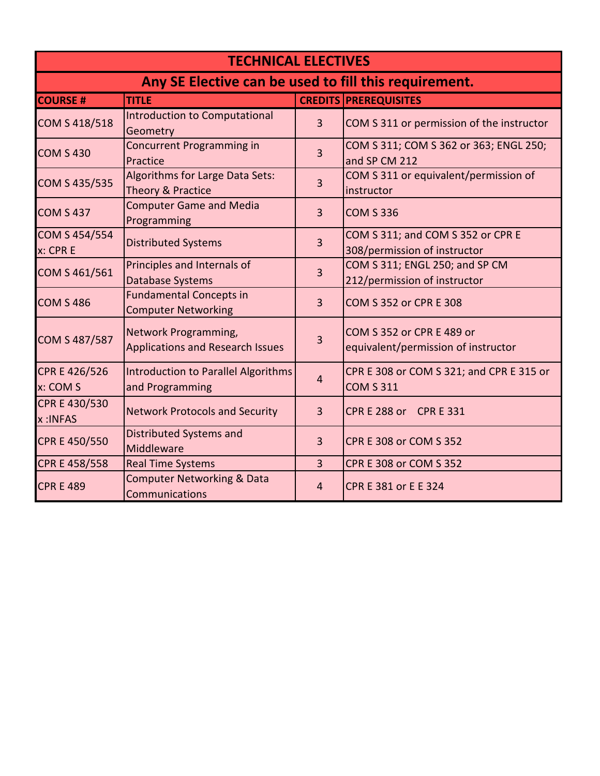| <b>TECHNICAL ELECTIVES</b>                            |                                                                 |                |                                                                   |
|-------------------------------------------------------|-----------------------------------------------------------------|----------------|-------------------------------------------------------------------|
| Any SE Elective can be used to fill this requirement. |                                                                 |                |                                                                   |
| <b>COURSE#</b>                                        | <b>TITLE</b>                                                    |                | <b>CREDITS PREREQUISITES</b>                                      |
| COM S 418/518                                         | Introduction to Computational<br>Geometry                       | $\overline{3}$ | COM S 311 or permission of the instructor                         |
| <b>COM S 430</b>                                      | Concurrent Programming in<br>Practice                           | 3              | COM S 311; COM S 362 or 363; ENGL 250;<br>and SP CM 212           |
| COM S 435/535                                         | Algorithms for Large Data Sets:<br>Theory & Practice            | 3              | COM S 311 or equivalent/permission of<br>instructor               |
| <b>COM S 437</b>                                      | <b>Computer Game and Media</b><br>Programming                   | 3              | <b>COM S 336</b>                                                  |
| COM S 454/554<br>x: CPR E                             | <b>Distributed Systems</b>                                      | 3              | COM S 311; and COM S 352 or CPR E<br>308/permission of instructor |
| COM S 461/561                                         | Principles and Internals of<br><b>Database Systems</b>          | 3              | COM S 311; ENGL 250; and SP CM<br>212/permission of instructor    |
| <b>COM S 486</b>                                      | <b>Fundamental Concepts in</b><br><b>Computer Networking</b>    | 3              | COM S 352 or CPR E 308                                            |
| COM S 487/587                                         | Network Programming,<br><b>Applications and Research Issues</b> | 3              | COM S 352 or CPR E 489 or<br>equivalent/permission of instructor  |
| CPR E 426/526<br>x: COM S                             | Introduction to Parallel Algorithms<br>and Programming          | 4              | CPR E 308 or COM S 321; and CPR E 315 or<br><b>COM S 311</b>      |
| CPR E 430/530<br>x:INFAS                              | <b>Network Protocols and Security</b>                           | 3              | CPR E 288 or CPR E 331                                            |
| CPR E 450/550                                         | <b>Distributed Systems and</b><br>Middleware                    | 3              | CPR E 308 or COM S 352                                            |
| CPR E 458/558                                         | <b>Real Time Systems</b>                                        | 3              | <b>CPR E 308 or COM S 352</b>                                     |
| <b>CPR E 489</b>                                      | <b>Computer Networking &amp; Data</b><br>Communications         | 4              | CPR E 381 or E E 324                                              |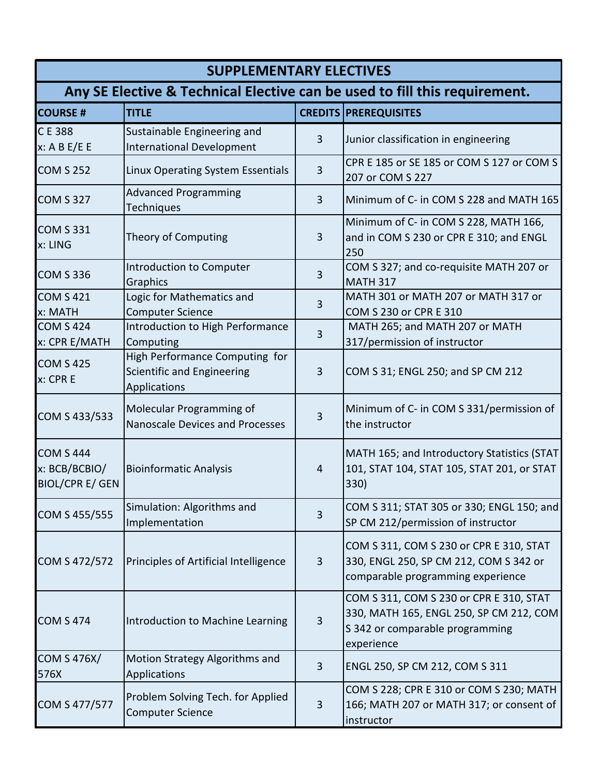| <b>SUPPLEMENTARY ELECTIVES</b>                                             |                                                                              |                |                                                                                                                                     |
|----------------------------------------------------------------------------|------------------------------------------------------------------------------|----------------|-------------------------------------------------------------------------------------------------------------------------------------|
| Any SE Elective & Technical Elective can be used to fill this requirement. |                                                                              |                |                                                                                                                                     |
| <b>COURSE #</b>                                                            | <b>TITLE</b>                                                                 |                | <b>CREDITS PREREQUISITES</b>                                                                                                        |
| CE 388<br>x: A B E/E E                                                     | Sustainable Engineering and<br><b>International Development</b>              | 3              | Junior classification in engineering                                                                                                |
| <b>COM S 252</b>                                                           | Linux Operating System Essentials                                            | 3              | CPR E 185 or SE 185 or COM S 127 or COM S<br>207 or COM S 227                                                                       |
| <b>COM S 327</b>                                                           | <b>Advanced Programming</b><br>Techniques                                    | 3              | Minimum of C- in COM S 228 and MATH 165                                                                                             |
| <b>COM S 331</b><br>x: LING                                                | Theory of Computing                                                          | 3              | Minimum of C- in COM S 228, MATH 166,<br>and in COM S 230 or CPR E 310; and ENGL<br>250                                             |
| <b>COM S 336</b>                                                           | Introduction to Computer<br>Graphics                                         | 3              | COM S 327; and co-requisite MATH 207 or<br><b>MATH 317</b>                                                                          |
| <b>COM S 421</b><br>x: MATH                                                | Logic for Mathematics and<br><b>Computer Science</b>                         | 3              | MATH 301 or MATH 207 or MATH 317 or<br>COM S 230 or CPR E 310                                                                       |
| <b>COM S 424</b><br>x: CPR E/MATH                                          | Introduction to High Performance<br>Computing                                | 3              | MATH 265; and MATH 207 or MATH<br>317/permission of instructor                                                                      |
| <b>COM S 425</b><br>x: CPR E                                               | High Performance Computing for<br>Scientific and Engineering<br>Applications | 3              | COM S 31; ENGL 250; and SP CM 212                                                                                                   |
| COM S 433/533                                                              | Molecular Programming of<br><b>Nanoscale Devices and Processes</b>           | 3              | Minimum of C- in COM S 331/permission of<br>the instructor                                                                          |
| <b>COM S 444</b><br>x: BCB/BCBIO/<br><b>BIOL/CPR E/ GEN</b>                | <b>Bioinformatic Analysis</b>                                                | $\overline{4}$ | MATH 165; and Introductory Statistics (STAT<br>101, STAT 104, STAT 105, STAT 201, or STAT<br>330)                                   |
| COM S 455/555                                                              | Simulation: Algorithms and<br>Implementation                                 | 3              | COM S 311; STAT 305 or 330; ENGL 150; and<br>SP CM 212/permission of instructor                                                     |
| COM S 472/572                                                              | Principles of Artificial Intelligence                                        | 3              | COM S 311, COM S 230 or CPR E 310, STAT<br>330, ENGL 250, SP CM 212, COM S 342 or<br>comparable programming experience              |
| <b>COM S 474</b>                                                           | Introduction to Machine Learning                                             | 3              | COM S 311, COM S 230 or CPR E 310, STAT<br>330, MATH 165, ENGL 250, SP CM 212, COM<br>S 342 or comparable programming<br>experience |
| <b>COM S 476X/</b><br>576X                                                 | Motion Strategy Algorithms and<br>Applications                               | 3              | ENGL 250, SP CM 212, COM S 311                                                                                                      |
| COM S 477/577                                                              | Problem Solving Tech. for Applied<br><b>Computer Science</b>                 | 3              | COM S 228; CPR E 310 or COM S 230; MATH<br>166; MATH 207 or MATH 317; or consent of<br>instructor                                   |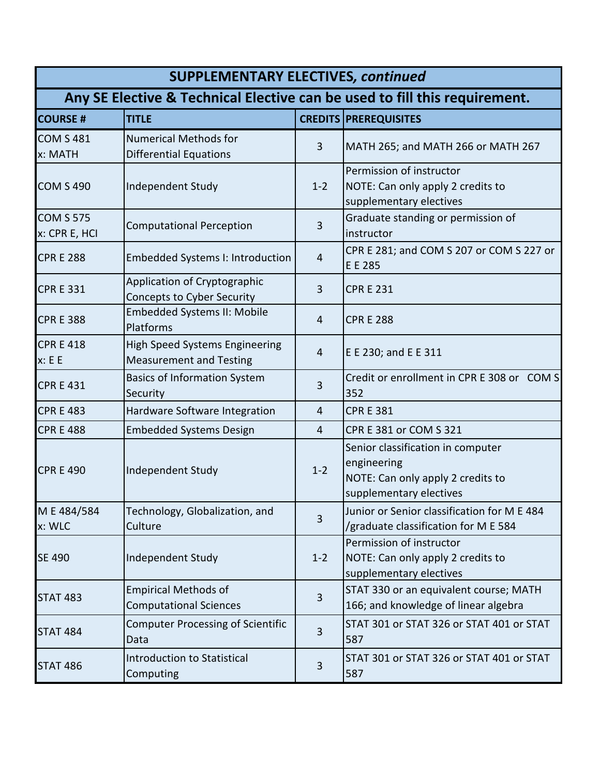| <b>SUPPLEMENTARY ELECTIVES, continued</b>                                  |                                                                  |                |                                                                                                                  |
|----------------------------------------------------------------------------|------------------------------------------------------------------|----------------|------------------------------------------------------------------------------------------------------------------|
| Any SE Elective & Technical Elective can be used to fill this requirement. |                                                                  |                |                                                                                                                  |
| <b>COURSE #</b>                                                            | <b>TITLE</b>                                                     |                | <b>CREDITS PREREQUISITES</b>                                                                                     |
| <b>COM S 481</b><br>x: MATH                                                | <b>Numerical Methods for</b><br><b>Differential Equations</b>    | 3              | MATH 265; and MATH 266 or MATH 267                                                                               |
| <b>COM S 490</b>                                                           | Independent Study                                                | $1 - 2$        | Permission of instructor<br>NOTE: Can only apply 2 credits to<br>supplementary electives                         |
| <b>COM S 575</b><br>x: CPR E, HCI                                          | <b>Computational Perception</b>                                  | 3              | Graduate standing or permission of<br>instructor                                                                 |
| <b>CPR E 288</b>                                                           | <b>Embedded Systems I: Introduction</b>                          | $\overline{4}$ | CPR E 281; and COM S 207 or COM S 227 or<br>E E 285                                                              |
| <b>CPR E 331</b>                                                           | Application of Cryptographic<br>Concepts to Cyber Security       | 3              | <b>CPR E 231</b>                                                                                                 |
| <b>CPR E 388</b>                                                           | <b>Embedded Systems II: Mobile</b><br>Platforms                  | 4              | <b>CPR E 288</b>                                                                                                 |
| <b>CPR E 418</b><br>x: E E                                                 | High Speed Systems Engineering<br><b>Measurement and Testing</b> | 4              | E E 230; and E E 311                                                                                             |
| <b>CPR E 431</b>                                                           | <b>Basics of Information System</b><br>Security                  | 3              | Credit or enrollment in CPR E 308 or COM S<br>352                                                                |
| <b>CPR E 483</b>                                                           | Hardware Software Integration                                    | 4              | <b>CPR E 381</b>                                                                                                 |
| <b>CPR E 488</b>                                                           | <b>Embedded Systems Design</b>                                   | 4              | CPR E 381 or COM S 321                                                                                           |
| <b>CPR E 490</b>                                                           | Independent Study                                                | $1 - 2$        | Senior classification in computer<br>engineering<br>NOTE: Can only apply 2 credits to<br>supplementary electives |
| M E 484/584<br>x: WLC                                                      | Technology, Globalization, and<br>Culture                        | 3              | Junior or Senior classification for M E 484<br>/graduate classification for M E 584                              |
| <b>SE 490</b>                                                              | Independent Study                                                | $1 - 2$        | Permission of instructor<br>NOTE: Can only apply 2 credits to<br>supplementary electives                         |
| <b>STAT 483</b>                                                            | <b>Empirical Methods of</b><br><b>Computational Sciences</b>     | 3              | STAT 330 or an equivalent course; MATH<br>166; and knowledge of linear algebra                                   |
| <b>STAT 484</b>                                                            | <b>Computer Processing of Scientific</b><br>Data                 | 3              | STAT 301 or STAT 326 or STAT 401 or STAT<br>587                                                                  |
| <b>STAT 486</b>                                                            | Introduction to Statistical<br>Computing                         | 3              | STAT 301 or STAT 326 or STAT 401 or STAT<br>587                                                                  |